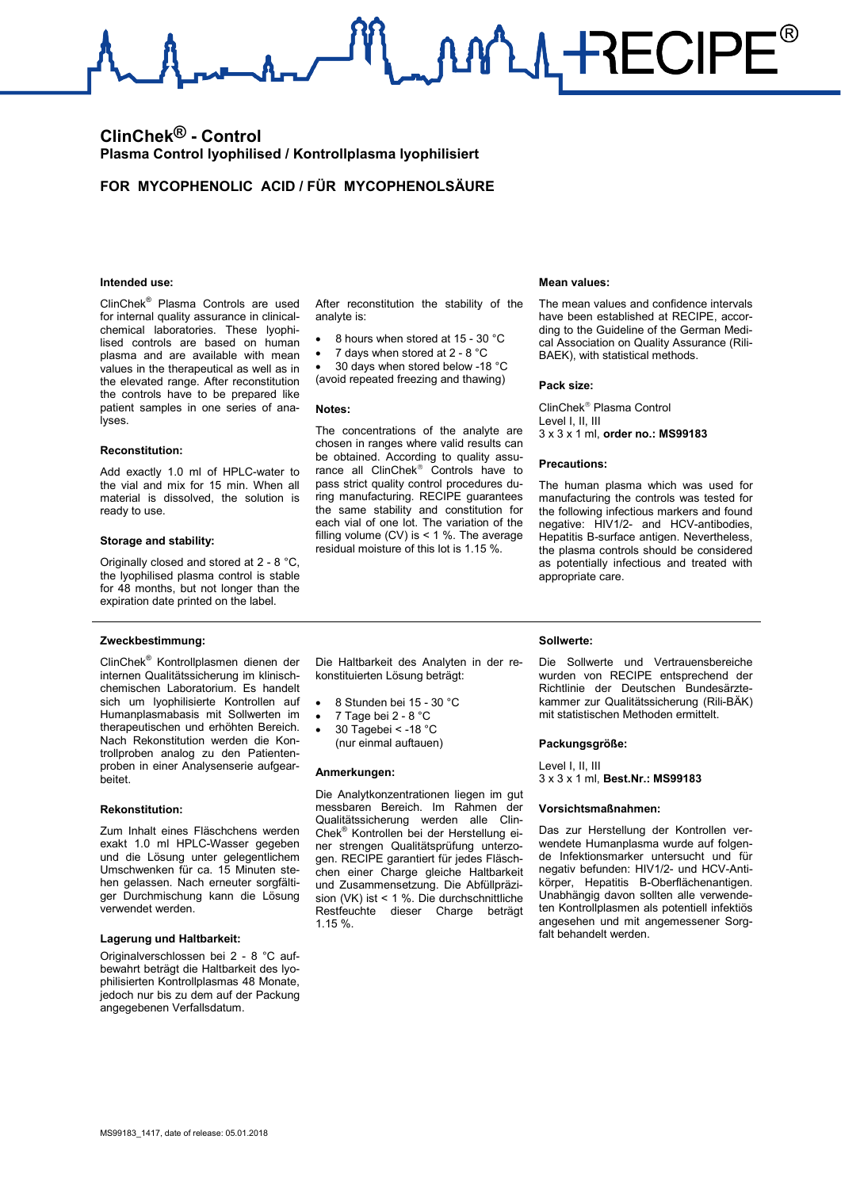MAL RECIPE®

## **ClinChek® - Control Plasma Control lyophilised / Kontrollplasma lyophilisiert**

### **FOR MYCOPHENOLIC ACID / FÜR MYCOPHENOLSÄURE**

#### **Intended use:**

ClinChek® Plasma Controls are used for internal quality assurance in clinicalchemical laboratories. These lyophilised controls are based on human plasma and are available with mean values in the therapeutical as well as in the elevated range. After reconstitution the controls have to be prepared like patient samples in one series of analyses.

#### **Reconstitution:**

Add exactly 1.0 ml of HPLC-water to the vial and mix for 15 min. When all material is dissolved, the solution is ready to use.

#### **Storage and stability:**

Originally closed and stored at 2 - 8 °C, the lyophilised plasma control is stable for 48 months, but not longer than the expiration date printed on the label.

#### **Zweckbestimmung:**

ClinChek® Kontrollplasmen dienen der internen Qualitätssicherung im klinischchemischen Laboratorium. Es handelt sich um lyophilisierte Kontrollen auf Humanplasmabasis mit Sollwerten im therapeutischen und erhöhten Bereich. Nach Rekonstitution werden die Kontrollproben analog zu den Patientenproben in einer Analysenserie aufgearbeitet.

#### **Rekonstitution:**

Zum Inhalt eines Fläschchens werden exakt 1.0 ml HPLC-Wasser gegeben und die Lösung unter gelegentlichem Umschwenken für ca. 15 Minuten stehen gelassen. Nach erneuter sorgfältiger Durchmischung kann die Lösung verwendet werden.

#### **Lagerung und Haltbarkeit:**

Originalverschlossen bei 2 - 8 °C aufbewahrt beträgt die Haltbarkeit des lyophilisierten Kontrollplasmas 48 Monate, jedoch nur bis zu dem auf der Packung angegebenen Verfallsdatum.

After reconstitution the stability of the analyte is:

- 8 hours when stored at 15 30 °C
- 7 days when stored at 2 8 °C

• 30 days when stored below -18 °C (avoid repeated freezing and thawing)

#### **Notes:**

The concentrations of the analyte are chosen in ranges where valid results can be obtained. According to quality assurance all ClinChek<sup>®</sup> Controls have to pass strict quality control procedures during manufacturing. RECIPE guarantees the same stability and constitution for each vial of one lot. The variation of the filling volume  $(CV)$  is  $\leq 1$  %. The average residual moisture of this lot is 1.15 %.

#### **Mean values:**

The mean values and confidence intervals have been established at RECIPE, according to the Guideline of the German Medical Association on Quality Assurance (Rili-BAEK), with statistical methods.

#### **Pack size:**

ClinChek<sup>®</sup> Plasma Control Level I, II, III 3 x 3 x 1 ml, **order no.: MS99183**

#### **Precautions:**

The human plasma which was used for manufacturing the controls was tested for the following infectious markers and found negative: HIV1/2- and HCV-antibodies, Hepatitis B-surface antigen. Nevertheless, the plasma controls should be considered as potentially infectious and treated with appropriate care.

#### **Sollwerte:**

Die Sollwerte und Vertrauensbereiche wurden von RECIPE entsprechend der Richtlinie der Deutschen Bundesärztekammer zur Qualitätssicherung (Rili-BÄK)

#### **Packungsgröße:**

Level I, II, III 3 x 3 x 1 ml, **Best.Nr.: MS99183**

#### **Vorsichtsmaßnahmen:**

Das zur Herstellung der Kontrollen verwendete Humanplasma wurde auf folgende Infektionsmarker untersucht und für negativ befunden: HIV1/2- und HCV-Antikörper, Hepatitis B-Oberflächenantigen. Unabhängig davon sollten alle verwendeten Kontrollplasmen als potentiell infektiös angesehen und mit angemessener Sorgfalt behandelt werden.

Die Haltbarkeit des Analyten in der rekonstituierten Lösung beträgt:

- 8 Stunden bei 15 30 °C
- 7 Tage bei 2 8 °C
- 30 Tagebei < -18 °C (nur einmal auftauen)
- **Anmerkungen:**

Die Analytkonzentrationen liegen im gut messbaren Bereich. Im Rahmen der Qualitätssicherung werden alle Clin-Chek® Kontrollen bei der Herstellung einer strengen Qualitätsprüfung unterzogen. RECIPE garantiert für jedes Fläschchen einer Charge gleiche Haltbarkeit und Zusammensetzung. Die Abfüllpräzision (VK) ist < 1 %. Die durchschnittliche Restfeuchte dieser Charge beträgt 1.15 %.

mit statistischen Methoden ermittelt.